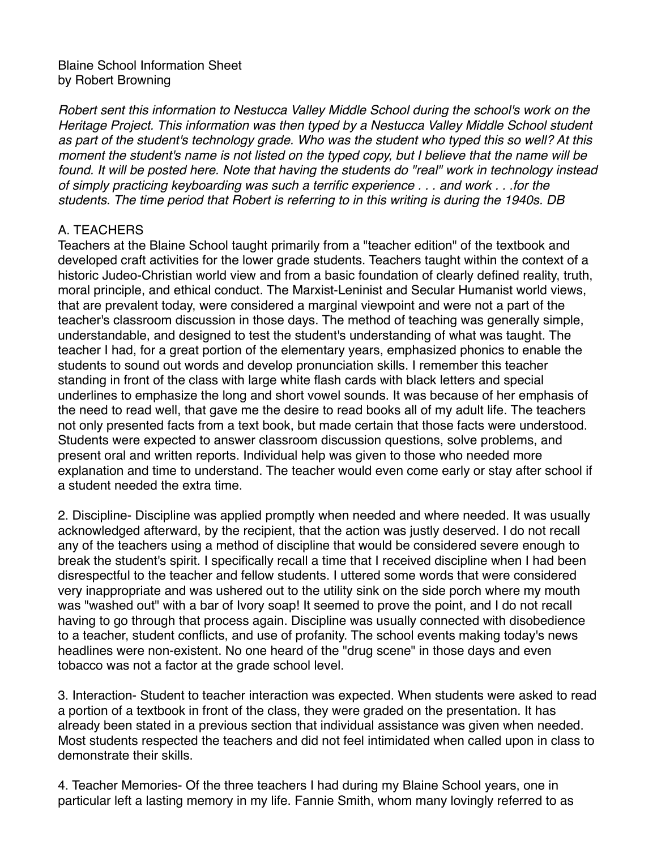### Blaine School Information Sheet by Robert Browning

*Robert sent this information to Nestucca Valley Middle School during the school's work on the Heritage Project. This information was then typed by a Nestucca Valley Middle School student as part of the student's technology grade. Who was the student who typed this so well? At this moment the student's name is not listed on the typed copy, but I believe that the name will be*  found. It will be posted here. Note that having the students do "real" work in technology instead *of simply practicing keyboarding was such a terrific experience . . . and work . . .for the students. The time period that Robert is referring to in this writing is during the 1940s. DB* 

# A. TEACHERS

Teachers at the Blaine School taught primarily from a "teacher edition" of the textbook and developed craft activities for the lower grade students. Teachers taught within the context of a historic Judeo-Christian world view and from a basic foundation of clearly defined reality, truth, moral principle, and ethical conduct. The Marxist-Leninist and Secular Humanist world views, that are prevalent today, were considered a marginal viewpoint and were not a part of the teacher's classroom discussion in those days. The method of teaching was generally simple, understandable, and designed to test the student's understanding of what was taught. The teacher I had, for a great portion of the elementary years, emphasized phonics to enable the students to sound out words and develop pronunciation skills. I remember this teacher standing in front of the class with large white flash cards with black letters and special underlines to emphasize the long and short vowel sounds. It was because of her emphasis of the need to read well, that gave me the desire to read books all of my adult life. The teachers not only presented facts from a text book, but made certain that those facts were understood. Students were expected to answer classroom discussion questions, solve problems, and present oral and written reports. Individual help was given to those who needed more explanation and time to understand. The teacher would even come early or stay after school if a student needed the extra time.

2. Discipline- Discipline was applied promptly when needed and where needed. It was usually acknowledged afterward, by the recipient, that the action was justly deserved. I do not recall any of the teachers using a method of discipline that would be considered severe enough to break the student's spirit. I specifically recall a time that I received discipline when I had been disrespectful to the teacher and fellow students. I uttered some words that were considered very inappropriate and was ushered out to the utility sink on the side porch where my mouth was "washed out" with a bar of Ivory soap! It seemed to prove the point, and I do not recall having to go through that process again. Discipline was usually connected with disobedience to a teacher, student conflicts, and use of profanity. The school events making today's news headlines were non-existent. No one heard of the "drug scene" in those days and even tobacco was not a factor at the grade school level.

3. Interaction- Student to teacher interaction was expected. When students were asked to read a portion of a textbook in front of the class, they were graded on the presentation. It has already been stated in a previous section that individual assistance was given when needed. Most students respected the teachers and did not feel intimidated when called upon in class to demonstrate their skills.

4. Teacher Memories- Of the three teachers I had during my Blaine School years, one in particular left a lasting memory in my life. Fannie Smith, whom many lovingly referred to as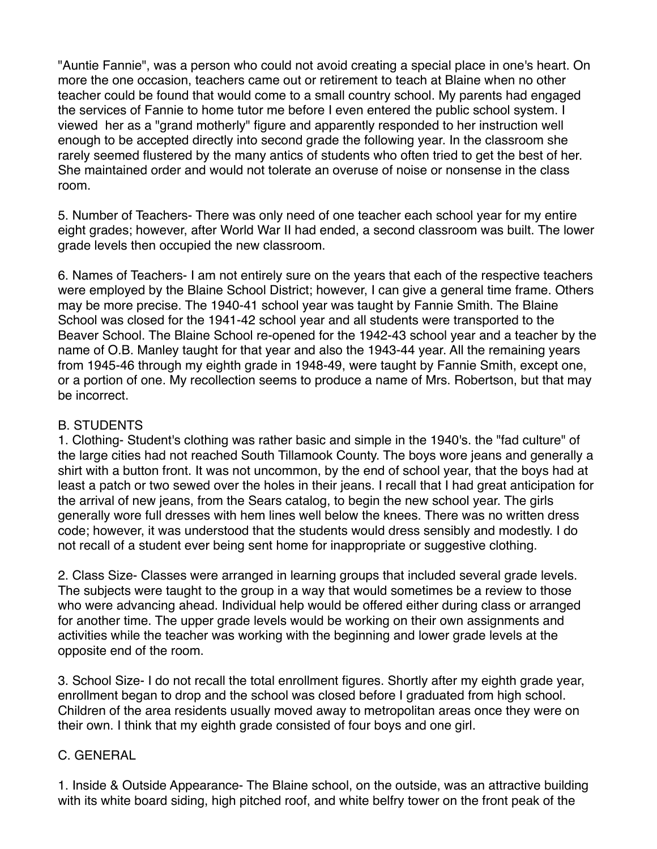"Auntie Fannie", was a person who could not avoid creating a special place in one's heart. On more the one occasion, teachers came out or retirement to teach at Blaine when no other teacher could be found that would come to a small country school. My parents had engaged the services of Fannie to home tutor me before I even entered the public school system. I viewed her as a "grand motherly" figure and apparently responded to her instruction well enough to be accepted directly into second grade the following year. In the classroom she rarely seemed flustered by the many antics of students who often tried to get the best of her. She maintained order and would not tolerate an overuse of noise or nonsense in the class room.

5. Number of Teachers- There was only need of one teacher each school year for my entire eight grades; however, after World War II had ended, a second classroom was built. The lower grade levels then occupied the new classroom.

6. Names of Teachers- I am not entirely sure on the years that each of the respective teachers were employed by the Blaine School District; however, I can give a general time frame. Others may be more precise. The 1940-41 school year was taught by Fannie Smith. The Blaine School was closed for the 1941-42 school year and all students were transported to the Beaver School. The Blaine School re-opened for the 1942-43 school year and a teacher by the name of O.B. Manley taught for that year and also the 1943-44 year. All the remaining years from 1945-46 through my eighth grade in 1948-49, were taught by Fannie Smith, except one, or a portion of one. My recollection seems to produce a name of Mrs. Robertson, but that may be incorrect.

### B. STUDENTS

1. Clothing- Student's clothing was rather basic and simple in the 1940's. the "fad culture" of the large cities had not reached South Tillamook County. The boys wore jeans and generally a shirt with a button front. It was not uncommon, by the end of school year, that the boys had at least a patch or two sewed over the holes in their jeans. I recall that I had great anticipation for the arrival of new jeans, from the Sears catalog, to begin the new school year. The girls generally wore full dresses with hem lines well below the knees. There was no written dress code; however, it was understood that the students would dress sensibly and modestly. I do not recall of a student ever being sent home for inappropriate or suggestive clothing.

2. Class Size- Classes were arranged in learning groups that included several grade levels. The subjects were taught to the group in a way that would sometimes be a review to those who were advancing ahead. Individual help would be offered either during class or arranged for another time. The upper grade levels would be working on their own assignments and activities while the teacher was working with the beginning and lower grade levels at the opposite end of the room.

3. School Size- I do not recall the total enrollment figures. Shortly after my eighth grade year, enrollment began to drop and the school was closed before I graduated from high school. Children of the area residents usually moved away to metropolitan areas once they were on their own. I think that my eighth grade consisted of four boys and one girl.

# C. GENERAL

1. Inside & Outside Appearance- The Blaine school, on the outside, was an attractive building with its white board siding, high pitched roof, and white belfry tower on the front peak of the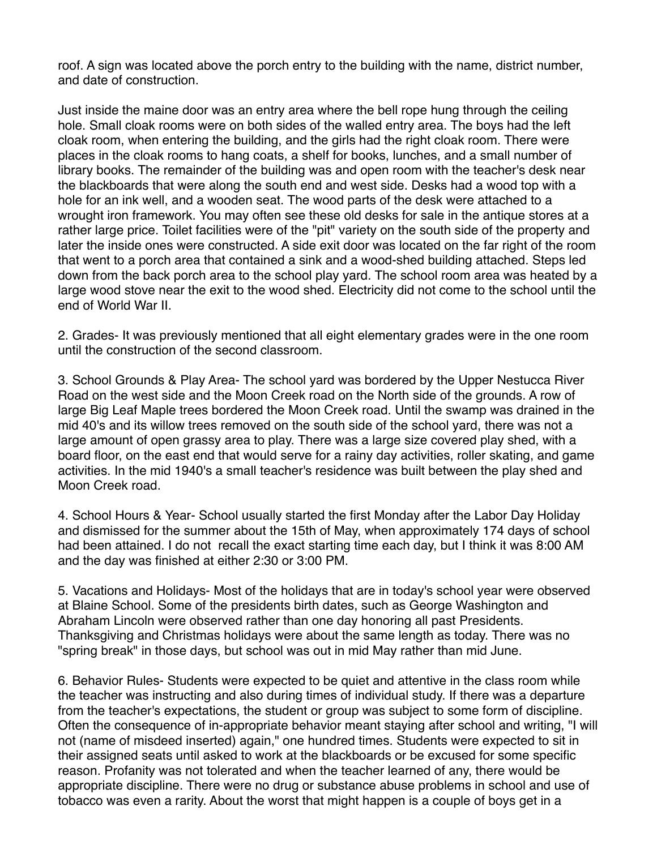roof. A sign was located above the porch entry to the building with the name, district number, and date of construction.

Just inside the maine door was an entry area where the bell rope hung through the ceiling hole. Small cloak rooms were on both sides of the walled entry area. The boys had the left cloak room, when entering the building, and the girls had the right cloak room. There were places in the cloak rooms to hang coats, a shelf for books, lunches, and a small number of library books. The remainder of the building was and open room with the teacher's desk near the blackboards that were along the south end and west side. Desks had a wood top with a hole for an ink well, and a wooden seat. The wood parts of the desk were attached to a wrought iron framework. You may often see these old desks for sale in the antique stores at a rather large price. Toilet facilities were of the "pit" variety on the south side of the property and later the inside ones were constructed. A side exit door was located on the far right of the room that went to a porch area that contained a sink and a wood-shed building attached. Steps led down from the back porch area to the school play yard. The school room area was heated by a large wood stove near the exit to the wood shed. Electricity did not come to the school until the end of World War II.

2. Grades- It was previously mentioned that all eight elementary grades were in the one room until the construction of the second classroom.

3. School Grounds & Play Area- The school yard was bordered by the Upper Nestucca River Road on the west side and the Moon Creek road on the North side of the grounds. A row of large Big Leaf Maple trees bordered the Moon Creek road. Until the swamp was drained in the mid 40's and its willow trees removed on the south side of the school yard, there was not a large amount of open grassy area to play. There was a large size covered play shed, with a board floor, on the east end that would serve for a rainy day activities, roller skating, and game activities. In the mid 1940's a small teacher's residence was built between the play shed and Moon Creek road.

4. School Hours & Year- School usually started the first Monday after the Labor Day Holiday and dismissed for the summer about the 15th of May, when approximately 174 days of school had been attained. I do not recall the exact starting time each day, but I think it was 8:00 AM and the day was finished at either 2:30 or 3:00 PM.

5. Vacations and Holidays- Most of the holidays that are in today's school year were observed at Blaine School. Some of the presidents birth dates, such as George Washington and Abraham Lincoln were observed rather than one day honoring all past Presidents. Thanksgiving and Christmas holidays were about the same length as today. There was no "spring break" in those days, but school was out in mid May rather than mid June.

6. Behavior Rules- Students were expected to be quiet and attentive in the class room while the teacher was instructing and also during times of individual study. If there was a departure from the teacher's expectations, the student or group was subject to some form of discipline. Often the consequence of in-appropriate behavior meant staying after school and writing, "I will not (name of misdeed inserted) again," one hundred times. Students were expected to sit in their assigned seats until asked to work at the blackboards or be excused for some specific reason. Profanity was not tolerated and when the teacher learned of any, there would be appropriate discipline. There were no drug or substance abuse problems in school and use of tobacco was even a rarity. About the worst that might happen is a couple of boys get in a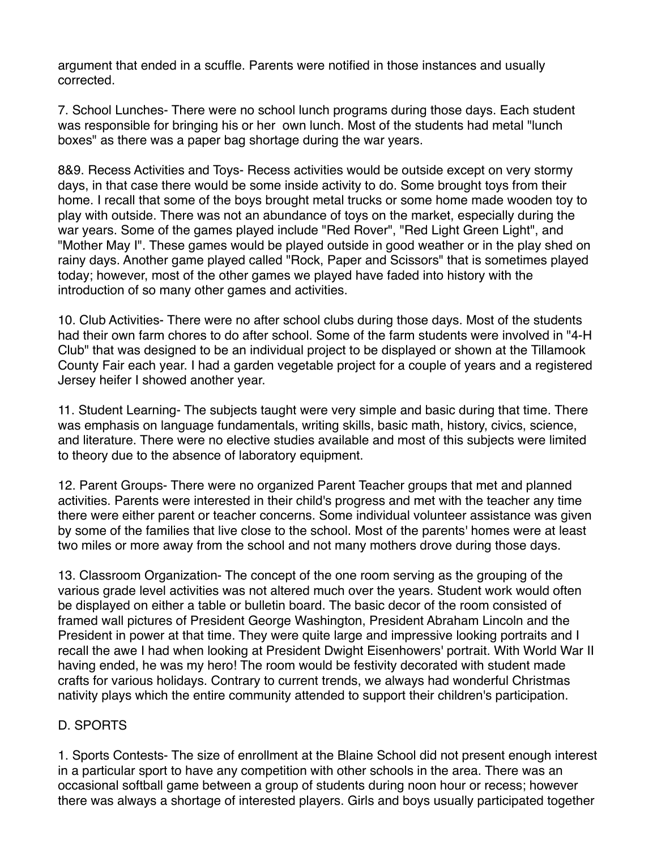argument that ended in a scuffle. Parents were notified in those instances and usually corrected.

7. School Lunches- There were no school lunch programs during those days. Each student was responsible for bringing his or her own lunch. Most of the students had metal "lunch boxes" as there was a paper bag shortage during the war years.

8&9. Recess Activities and Toys- Recess activities would be outside except on very stormy days, in that case there would be some inside activity to do. Some brought toys from their home. I recall that some of the boys brought metal trucks or some home made wooden toy to play with outside. There was not an abundance of toys on the market, especially during the war years. Some of the games played include "Red Rover", "Red Light Green Light", and "Mother May I". These games would be played outside in good weather or in the play shed on rainy days. Another game played called "Rock, Paper and Scissors" that is sometimes played today; however, most of the other games we played have faded into history with the introduction of so many other games and activities.

10. Club Activities- There were no after school clubs during those days. Most of the students had their own farm chores to do after school. Some of the farm students were involved in "4-H Club" that was designed to be an individual project to be displayed or shown at the Tillamook County Fair each year. I had a garden vegetable project for a couple of years and a registered Jersey heifer I showed another year.

11. Student Learning- The subjects taught were very simple and basic during that time. There was emphasis on language fundamentals, writing skills, basic math, history, civics, science, and literature. There were no elective studies available and most of this subjects were limited to theory due to the absence of laboratory equipment.

12. Parent Groups- There were no organized Parent Teacher groups that met and planned activities. Parents were interested in their child's progress and met with the teacher any time there were either parent or teacher concerns. Some individual volunteer assistance was given by some of the families that live close to the school. Most of the parents' homes were at least two miles or more away from the school and not many mothers drove during those days.

13. Classroom Organization- The concept of the one room serving as the grouping of the various grade level activities was not altered much over the years. Student work would often be displayed on either a table or bulletin board. The basic decor of the room consisted of framed wall pictures of President George Washington, President Abraham Lincoln and the President in power at that time. They were quite large and impressive looking portraits and I recall the awe I had when looking at President Dwight Eisenhowers' portrait. With World War II having ended, he was my hero! The room would be festivity decorated with student made crafts for various holidays. Contrary to current trends, we always had wonderful Christmas nativity plays which the entire community attended to support their children's participation.

# D. SPORTS

1. Sports Contests- The size of enrollment at the Blaine School did not present enough interest in a particular sport to have any competition with other schools in the area. There was an occasional softball game between a group of students during noon hour or recess; however there was always a shortage of interested players. Girls and boys usually participated together